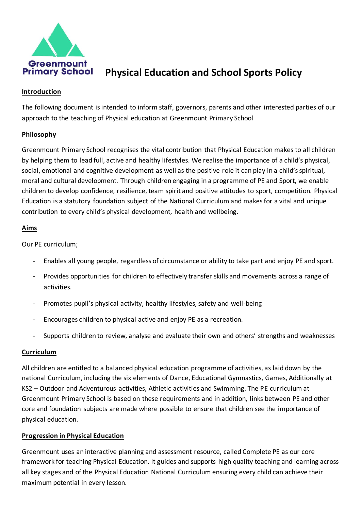

# **Primary School** Physical Education and School Sports Policy

### **Introduction**

The following document is intended to inform staff, governors, parents and other interested parties of our approach to the teaching of Physical education at Greenmount Primary School

## **Philosophy**

Greenmount Primary School recognises the vital contribution that Physical Education makes to all children by helping them to lead full, active and healthy lifestyles. We realise the importance of a child's physical, social, emotional and cognitive development as well as the positive role it can play in a child's spiritual, moral and cultural development. Through children engaging in a programme of PE and Sport, we enable children to develop confidence, resilience, team spirit and positive attitudes to sport, competition. Physical Education is a statutory foundation subject of the National Curriculum and makes for a vital and unique contribution to every child's physical development, health and wellbeing.

## **Aims**

Our PE curriculum;

- Enables all young people, regardless of circumstance or ability to take part and enjoy PE and sport.
- Provides opportunities for children to effectively transfer skills and movements across a range of activities.
- Promotes pupil's physical activity, healthy lifestyles, safety and well-being
- Encourages children to physical active and enjoy PE as a recreation.
- Supports children to review, analyse and evaluate their own and others' strengths and weaknesses

### **Curriculum**

All children are entitled to a balanced physical education programme of activities, as laid down by the national Curriculum, including the six elements of Dance, Educational Gymnastics, Games, Additionally at KS2 – Outdoor and Adventurous activities, Athletic activities and Swimming. The PE curriculum at Greenmount Primary School is based on these requirements and in addition, links between PE and other core and foundation subjects are made where possible to ensure that children see the importance of physical education.

### **Progression in Physical Education**

Greenmount uses an interactive planning and assessment resource, called Complete PE as our core framework for teaching Physical Education. It guides and supports high quality teaching and learning across all key stages and of the Physical Education National Curriculum ensuring every child can achieve their maximum potential in every lesson.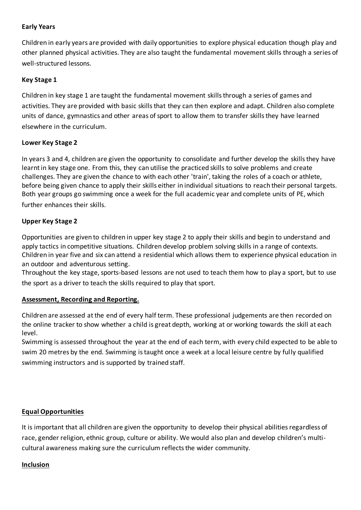## **Early Years**

Children in early years are provided with daily opportunities to explore physical education though play and other planned physical activities. They are also taught the fundamental movement skills through a series of well-structured lessons.

## **Key Stage 1**

Children in key stage 1 are taught the fundamental movement skills through a series of games and activities. They are provided with basic skills that they can then explore and adapt. Children also complete units of dance, gymnastics and other areas of sport to allow them to transfer skills they have learned elsewhere in the curriculum.

## **Lower Key Stage 2**

In years 3 and 4, children are given the opportunity to consolidate and further develop the skills they have learnt in key stage one. From this, they can utilise the practiced skills to solve problems and create challenges. They are given the chance to with each other 'train', taking the roles of a coach or athlete, before being given chance to apply their skills either in individual situations to reach their personal targets. Both year groups go swimming once a week for the full academic year and complete units of PE, which further enhances their skills.

## **Upper Key Stage 2**

Opportunities are given to children in upper key stage 2 to apply their skills and begin to understand and apply tactics in competitive situations. Children develop problem solving skills in a range of contexts. Children in year five and six can attend a residential which allows them to experience physical education in an outdoor and adventurous setting.

Throughout the key stage, sports-based lessons are not used to teach them how to play a sport, but to use the sport as a driver to teach the skills required to play that sport.

# **Assessment, Recording and Reporting.**

Children are assessed at the end of every half term. These professional judgements are then recorded on the online tracker to show whether a child is great depth, working at or working towards the skill at each level.

Swimming is assessed throughout the year at the end of each term, with every child expected to be able to swim 20 metres by the end. Swimming is taught once a week at a local leisure centre by fully qualified swimming instructors and is supported by trained staff.

# **Equal Opportunities**

It is important that all children are given the opportunity to develop their physical abilities regardless of race, gender religion, ethnic group, culture or ability. We would also plan and develop children's multicultural awareness making sure the curriculum reflects the wider community.

### **Inclusion**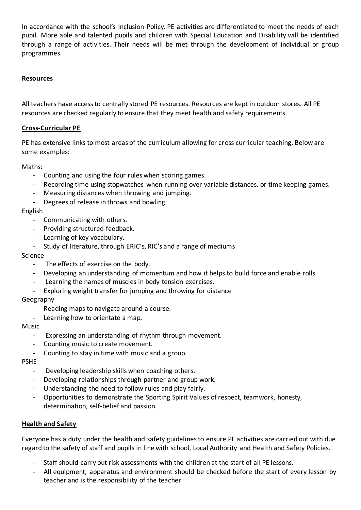In accordance with the school's Inclusion Policy, PE activities are differentiated to meet the needs of each pupil. More able and talented pupils and children with Special Education and Disability will be identified through a range of activities. Their needs will be met through the development of individual or group programmes.

## **Resources**

All teachers have access to centrally stored PE resources. Resources are kept in outdoor stores. All PE resources are checked regularly to ensure that they meet health and safety requirements.

### **Cross-Curricular PE**

PE has extensive links to most areas of the curriculum allowing for cross curricular teaching. Below are some examples:

Maths:

- Counting and using the four rules when scoring games.
- Recording time using stopwatches when running over variable distances, or time keeping games.
- Measuring distances when throwing and jumping.
- Degrees of release in throws and bowling.

#### English

- Communicating with others.
- Providing structured feedback.
- Learning of key vocabulary.
- Study of literature, through ERIC's, RIC's and a range of mediums

#### Science

- The effects of exercise on the body.
- Developing an understanding of momentum and how it helps to build force and enable rolls.
- Learning the names of muscles in body tension exercises.
- Exploring weight transfer for jumping and throwing for distance

Geography

- Reading maps to navigate around a course.
- Learning how to orientate a map.

#### Music

- Expressing an understanding of rhythm through movement.
- Counting music to create movement.
- Counting to stay in time with music and a group.

PSHE

- Developing leadership skills when coaching others.
- Developing relationships through partner and group work.
- Understanding the need to follow rules and play fairly.
- Opportunities to demonstrate the Sporting Spirit Values of respect, teamwork, honesty, determination, self-belief and passion.

### **Health and Safety**

Everyone has a duty under the health and safety guidelines to ensure PE activities are carried out with due regard to the safety of staff and pupils in line with school, Local Authority and Health and Safety Policies.

- Staff should carry out risk assessments with the children at the start of all PE lessons.
- All equipment, apparatus and environment should be checked before the start of every lesson by teacher and is the responsibility of the teacher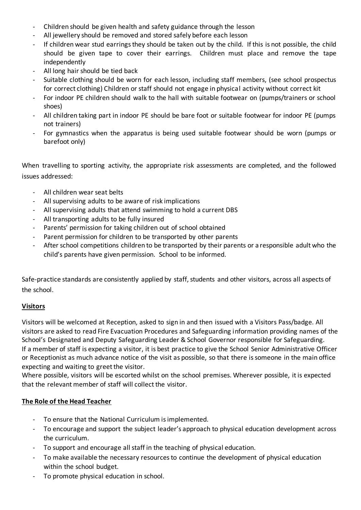- Children should be given health and safety guidance through the lesson
- All jewellery should be removed and stored safely before each lesson
- If children wear stud earrings they should be taken out by the child. If this is not possible, the child should be given tape to cover their earrings. Children must place and remove the tape independently
- All long hair should be tied back
- Suitable clothing should be worn for each lesson, including staff members, (see school prospectus for correct clothing) Children or staff should not engage in physical activity without correct kit
- For indoor PE children should walk to the hall with suitable footwear on (pumps/trainers or school shoes)
- All children taking part in indoor PE should be bare foot or suitable footwear for indoor PE (pumps not trainers)
- For gymnastics when the apparatus is being used suitable footwear should be worn (pumps or barefoot only)

When travelling to sporting activity, the appropriate risk assessments are completed, and the followed issues addressed:

- All children wear seat belts
- All supervising adults to be aware of risk implications
- All supervising adults that attend swimming to hold a current DBS
- All transporting adults to be fully insured
- Parents' permission for taking children out of school obtained
- Parent permission for children to be transported by other parents
- After school competitions children to be transported by their parents or a responsible adult who the child's parents have given permission. School to be informed.

Safe-practice standards are consistently applied by staff, students and other visitors, across all aspects of the school.

### **Visitors**

Visitors will be welcomed at Reception, asked to sign in and then issued with a Visitors Pass/badge. All visitors are asked to read Fire Evacuation Procedures and Safeguarding information providing names of the School's Designated and Deputy Safeguarding Leader & School Governor responsible for Safeguarding. If a member of staff is expecting a visitor, it is best practice to give the School Senior Administrative Officer or Receptionist as much advance notice of the visit as possible, so that there is someone in the main office expecting and waiting to greet the visitor.

Where possible, visitors will be escorted whilst on the school premises. Wherever possible, it is expected that the relevant member of staff will collect the visitor.

### **The Role of the Head Teacher**

- To ensure that the National Curriculum is implemented.
- To encourage and support the subject leader's approach to physical education development across the curriculum.
- To support and encourage all staff in the teaching of physical education.
- To make available the necessary resources to continue the development of physical education within the school budget.
- To promote physical education in school.